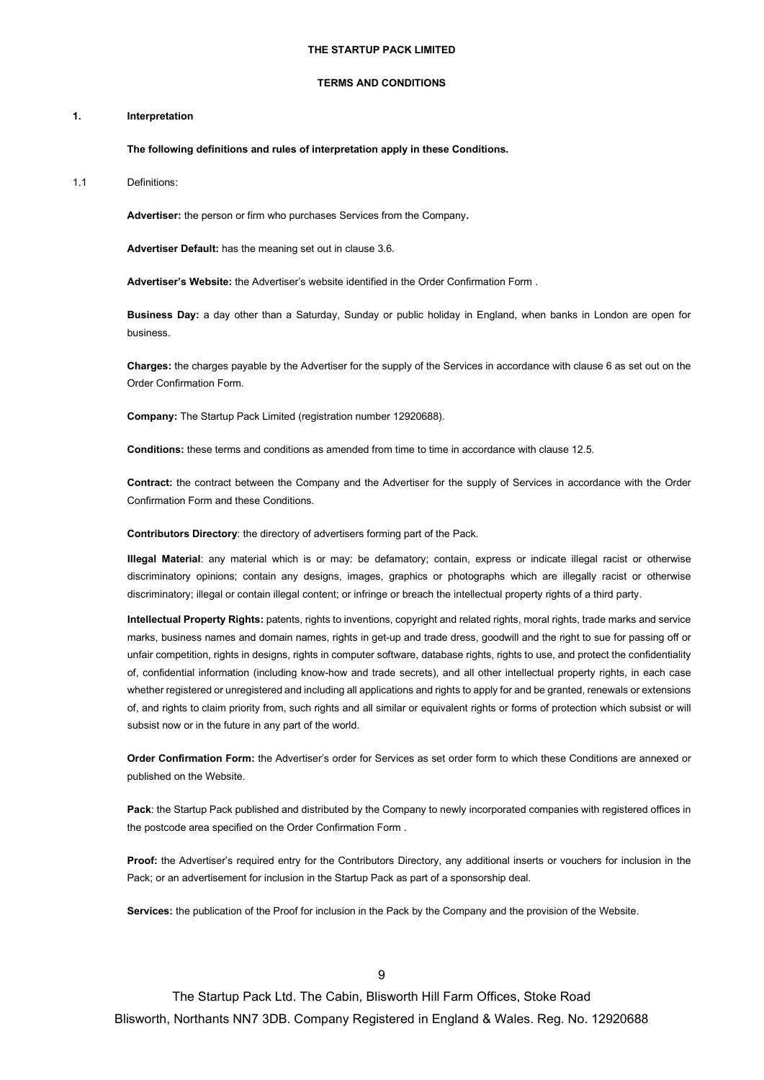#### **THE STARTUP PACK LIMITED**

#### **TERMS AND CONDITIONS**

#### **1. Interpretation**

## **The following definitions and rules of interpretation apply in these Conditions.**

1.1 Definitions:

**Advertiser:** the person or firm who purchases Services from the Company**.**

**Advertiser Default:** has the meaning set out in clause 3.6.

**Advertiser's Website:** the Advertiser's website identified in the Order Confirmation Form .

**Business Day:** a day other than a Saturday, Sunday or public holiday in England, when banks in London are open for business.

**Charges:** the charges payable by the Advertiser for the supply of the Services in accordance with clause 6 as set out on the Order Confirmation Form.

**Company:** The Startup Pack Limited (registration number 12920688).

**Conditions:** these terms and conditions as amended from time to time in accordance with clause 12.5.

**Contract:** the contract between the Company and the Advertiser for the supply of Services in accordance with the Order Confirmation Form and these Conditions.

**Contributors Directory**: the directory of advertisers forming part of the Pack.

**Illegal Material**: any material which is or may: be defamatory; contain, express or indicate illegal racist or otherwise discriminatory opinions; contain any designs, images, graphics or photographs which are illegally racist or otherwise discriminatory; illegal or contain illegal content; or infringe or breach the intellectual property rights of a third party.

**Intellectual Property Rights:** patents, rights to inventions, copyright and related rights, moral rights, trade marks and service marks, business names and domain names, rights in get-up and trade dress, goodwill and the right to sue for passing off or unfair competition, rights in designs, rights in computer software, database rights, rights to use, and protect the confidentiality of, confidential information (including know-how and trade secrets), and all other intellectual property rights, in each case whether registered or unregistered and including all applications and rights to apply for and be granted, renewals or extensions of, and rights to claim priority from, such rights and all similar or equivalent rights or forms of protection which subsist or will subsist now or in the future in any part of the world.

**Order Confirmation Form:** the Advertiser's order for Services as set order form to which these Conditions are annexed or published on the Website.

**Pack**: the Startup Pack published and distributed by the Company to newly incorporated companies with registered offices in the postcode area specified on the Order Confirmation Form .

**Proof:** the Advertiser's required entry for the Contributors Directory, any additional inserts or vouchers for inclusion in the Pack; or an advertisement for inclusion in the Startup Pack as part of a sponsorship deal.

**Services:** the publication of the Proof for inclusion in the Pack by the Company and the provision of the Website.

9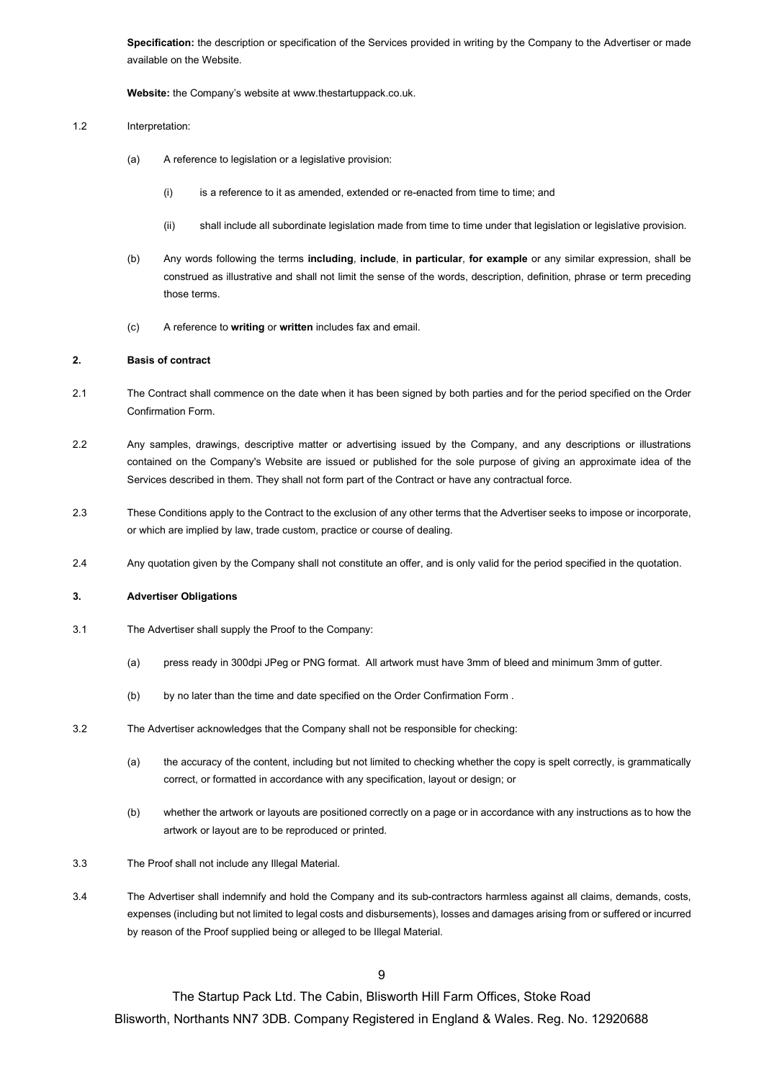**Specification:** the description or specification of the Services provided in writing by the Company to the Advertiser or made available on the Website.

**Website:** the Company's website at www.thestartuppack.co.uk.

### 1.2 Interpretation:

- (a) A reference to legislation or a legislative provision:
	- (i) is a reference to it as amended, extended or re-enacted from time to time; and
	- (ii) shall include all subordinate legislation made from time to time under that legislation or legislative provision.
- (b) Any words following the terms **including**, **include**, **in particular**, **for example** or any similar expression, shall be construed as illustrative and shall not limit the sense of the words, description, definition, phrase or term preceding those terms.
- (c) A reference to **writing** or **written** includes fax and email.

# **2. Basis of contract**

- 2.1 The Contract shall commence on the date when it has been signed by both parties and for the period specified on the Order Confirmation Form.
- 2.2 Any samples, drawings, descriptive matter or advertising issued by the Company, and any descriptions or illustrations contained on the Company's Website are issued or published for the sole purpose of giving an approximate idea of the Services described in them. They shall not form part of the Contract or have any contractual force.
- 2.3 These Conditions apply to the Contract to the exclusion of any other terms that the Advertiser seeks to impose or incorporate, or which are implied by law, trade custom, practice or course of dealing.
- 2.4 Any quotation given by the Company shall not constitute an offer, and is only valid for the period specified in the quotation.

# **3. Advertiser Obligations**

- 3.1 The Advertiser shall supply the Proof to the Company:
	- (a) press ready in 300dpi JPeg or PNG format. All artwork must have 3mm of bleed and minimum 3mm of gutter.
	- (b) by no later than the time and date specified on the Order Confirmation Form .
- 3.2 The Advertiser acknowledges that the Company shall not be responsible for checking:
	- (a) the accuracy of the content, including but not limited to checking whether the copy is spelt correctly, is grammatically correct, or formatted in accordance with any specification, layout or design; or
	- (b) whether the artwork or layouts are positioned correctly on a page or in accordance with any instructions as to how the artwork or layout are to be reproduced or printed.
- 3.3 The Proof shall not include any Illegal Material.
- 3.4 The Advertiser shall indemnify and hold the Company and its sub-contractors harmless against all claims, demands, costs, expenses (including but not limited to legal costs and disbursements), losses and damages arising from or suffered or incurred by reason of the Proof supplied being or alleged to be Illegal Material.

**9**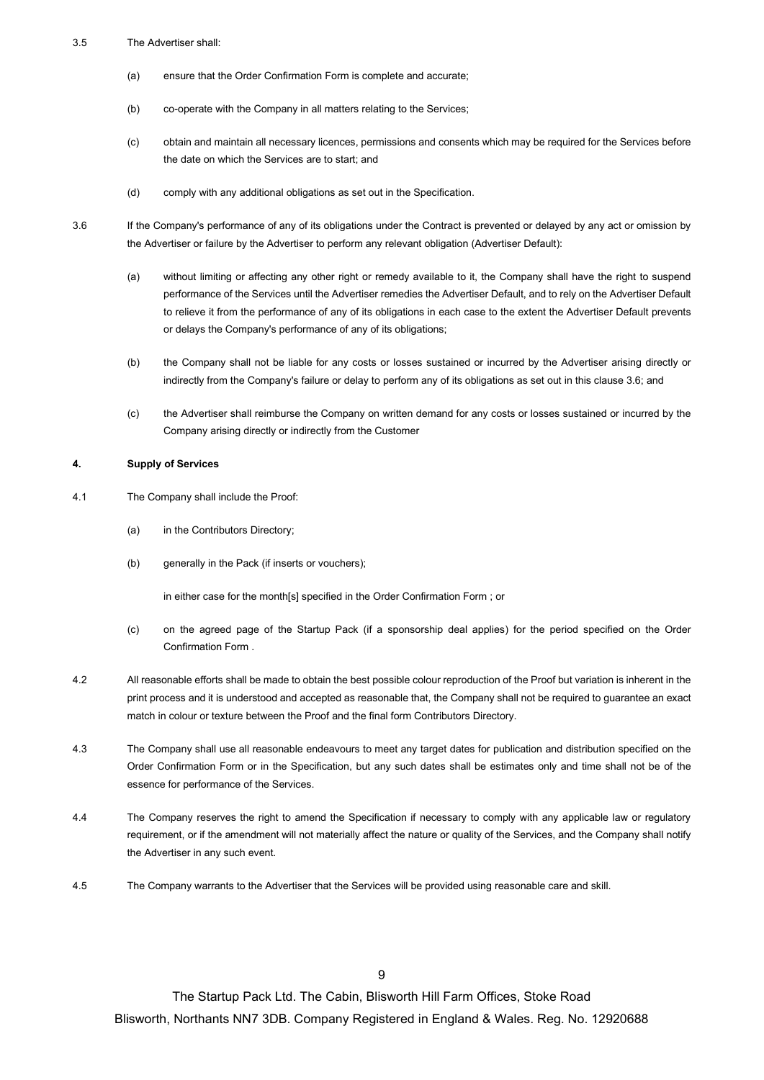## 3.5 The Advertiser shall:

- (a) ensure that the Order Confirmation Form is complete and accurate;
- (b) co-operate with the Company in all matters relating to the Services;
- (c) obtain and maintain all necessary licences, permissions and consents which may be required for the Services before the date on which the Services are to start; and
- (d) comply with any additional obligations as set out in the Specification.
- 

3.6 If the Company's performance of any of its obligations under the Contract is prevented or delayed by any act or omission by the Advertiser or failure by the Advertiser to perform any relevant obligation (Advertiser Default):

- (a) without limiting or affecting any other right or remedy available to it, the Company shall have the right to suspend performance of the Services until the Advertiser remedies the Advertiser Default, and to rely on the Advertiser Default to relieve it from the performance of any of its obligations in each case to the extent the Advertiser Default prevents or delays the Company's performance of any of its obligations;
- (b) the Company shall not be liable for any costs or losses sustained or incurred by the Advertiser arising directly or indirectly from the Company's failure or delay to perform any of its obligations as set out in this clause 3.6; and
- (c) the Advertiser shall reimburse the Company on written demand for any costs or losses sustained or incurred by the Company arising directly or indirectly from the Customer

## **4. Supply of Services**

- 4.1 The Company shall include the Proof:
	- (a) in the Contributors Directory;
	- (b) generally in the Pack (if inserts or vouchers);

in either case for the month[s] specified in the Order Confirmation Form ; or

- (c) on the agreed page of the Startup Pack (if a sponsorship deal applies) for the period specified on the Order Confirmation Form .
- 4.2 All reasonable efforts shall be made to obtain the best possible colour reproduction of the Proof but variation is inherent in the print process and it is understood and accepted as reasonable that, the Company shall not be required to guarantee an exact match in colour or texture between the Proof and the final form Contributors Directory.
- 4.3 The Company shall use all reasonable endeavours to meet any target dates for publication and distribution specified on the Order Confirmation Form or in the Specification, but any such dates shall be estimates only and time shall not be of the essence for performance of the Services.
- 4.4 The Company reserves the right to amend the Specification if necessary to comply with any applicable law or regulatory requirement, or if the amendment will not materially affect the nature or quality of the Services, and the Company shall notify the Advertiser in any such event.
- 4.5 The Company warrants to the Advertiser that the Services will be provided using reasonable care and skill.

The Startup Pack Ltd. The Cabin, Blisworth Hill Farm Offices, Stoke Road Blisworth, Northants NN7 3DB. Company Registered in England & Wales. Reg. No. 12920688

9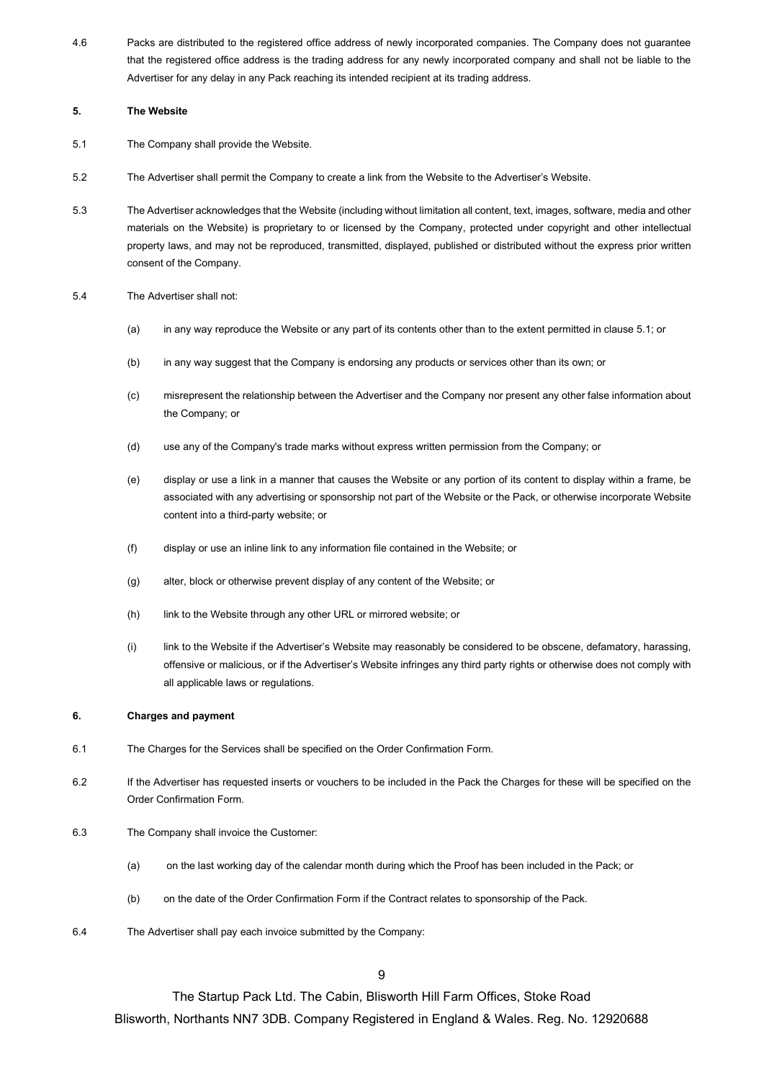4.6 Packs are distributed to the registered office address of newly incorporated companies. The Company does not guarantee that the registered office address is the trading address for any newly incorporated company and shall not be liable to the Advertiser for any delay in any Pack reaching its intended recipient at its trading address.

# **5. The Website**

- 5.1 The Company shall provide the Website.
- 5.2 The Advertiser shall permit the Company to create a link from the Website to the Advertiser's Website.
- 5.3 The Advertiser acknowledges that the Website (including without limitation all content, text, images, software, media and other materials on the Website) is proprietary to or licensed by the Company, protected under copyright and other intellectual property laws, and may not be reproduced, transmitted, displayed, published or distributed without the express prior written consent of the Company.
- 5.4 The Advertiser shall not:
	- (a) in any way reproduce the Website or any part of its contents other than to the extent permitted in clause 5.1; or
	- (b) in any way suggest that the Company is endorsing any products or services other than its own; or
	- (c) misrepresent the relationship between the Advertiser and the Company nor present any other false information about the Company; or
	- (d) use any of the Company's trade marks without express written permission from the Company; or
	- (e) display or use a link in a manner that causes the Website or any portion of its content to display within a frame, be associated with any advertising or sponsorship not part of the Website or the Pack, or otherwise incorporate Website content into a third-party website; or
	- (f) display or use an inline link to any information file contained in the Website; or
	- (g) alter, block or otherwise prevent display of any content of the Website; or
	- (h) link to the Website through any other URL or mirrored website; or
	- (i) link to the Website if the Advertiser's Website may reasonably be considered to be obscene, defamatory, harassing, offensive or malicious, or if the Advertiser's Website infringes any third party rights or otherwise does not comply with all applicable laws or regulations.

# **6. Charges and payment**

- 6.1 The Charges for the Services shall be specified on the Order Confirmation Form.
- 6.2 If the Advertiser has requested inserts or vouchers to be included in the Pack the Charges for these will be specified on the Order Confirmation Form.
- 6.3 The Company shall invoice the Customer:
	- (a) on the last working day of the calendar month during which the Proof has been included in the Pack; or
	- (b) on the date of the Order Confirmation Form if the Contract relates to sponsorship of the Pack.
- 6.4 The Advertiser shall pay each invoice submitted by the Company:

**9** 

The Startup Pack Ltd. The Cabin, Blisworth Hill Farm Offices, Stoke Road

Blisworth, Northants NN7 3DB. Company Registered in England & Wales. Reg. No. 12920688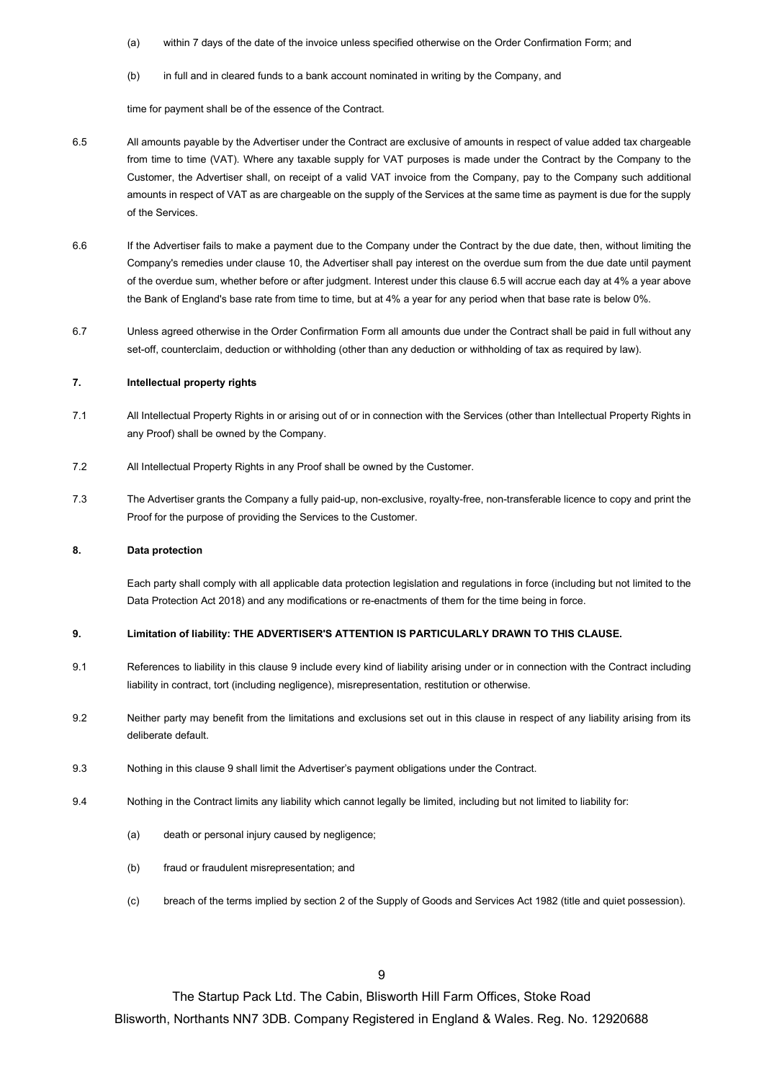(a) within 7 days of the date of the invoice unless specified otherwise on the Order Confirmation Form; and

(b) in full and in cleared funds to a bank account nominated in writing by the Company, and

time for payment shall be of the essence of the Contract.

- 6.5 All amounts payable by the Advertiser under the Contract are exclusive of amounts in respect of value added tax chargeable from time to time (VAT). Where any taxable supply for VAT purposes is made under the Contract by the Company to the Customer, the Advertiser shall, on receipt of a valid VAT invoice from the Company, pay to the Company such additional amounts in respect of VAT as are chargeable on the supply of the Services at the same time as payment is due for the supply of the Services.
- 6.6 If the Advertiser fails to make a payment due to the Company under the Contract by the due date, then, without limiting the Company's remedies under clause 10, the Advertiser shall pay interest on the overdue sum from the due date until payment of the overdue sum, whether before or after judgment. Interest under this clause 6.5 will accrue each day at 4% a year above the Bank of England's base rate from time to time, but at 4% a year for any period when that base rate is below 0%.
- 6.7 Unless agreed otherwise in the Order Confirmation Form all amounts due under the Contract shall be paid in full without any set-off, counterclaim, deduction or withholding (other than any deduction or withholding of tax as required by law).

### **7. Intellectual property rights**

- 7.1 All Intellectual Property Rights in or arising out of or in connection with the Services (other than Intellectual Property Rights in any Proof) shall be owned by the Company.
- 7.2 All Intellectual Property Rights in any Proof shall be owned by the Customer.
- 7.3 The Advertiser grants the Company a fully paid-up, non-exclusive, royalty-free, non-transferable licence to copy and print the Proof for the purpose of providing the Services to the Customer.

### **8. Data protection**

Each party shall comply with all applicable data protection legislation and regulations in force (including but not limited to the Data Protection Act 2018) and any modifications or re-enactments of them for the time being in force.

## **9. Limitation of liability: THE ADVERTISER'S ATTENTION IS PARTICULARLY DRAWN TO THIS CLAUSE.**

- 9.1 References to liability in this clause 9 include every kind of liability arising under or in connection with the Contract including liability in contract, tort (including negligence), misrepresentation, restitution or otherwise.
- 9.2 Neither party may benefit from the limitations and exclusions set out in this clause in respect of any liability arising from its deliberate default.
- 9.3 Nothing in this clause 9 shall limit the Advertiser's payment obligations under the Contract.
- 9.4 Nothing in the Contract limits any liability which cannot legally be limited, including but not limited to liability for:
	- (a) death or personal injury caused by negligence;
	- (b) fraud or fraudulent misrepresentation; and
	- (c) breach of the terms implied by section 2 of the Supply of Goods and Services Act 1982 (title and quiet possession).

The Startup Pack Ltd. The Cabin, Blisworth Hill Farm Offices, Stoke Road

Blisworth, Northants NN7 3DB. Company Registered in England & Wales. Reg. No. 12920688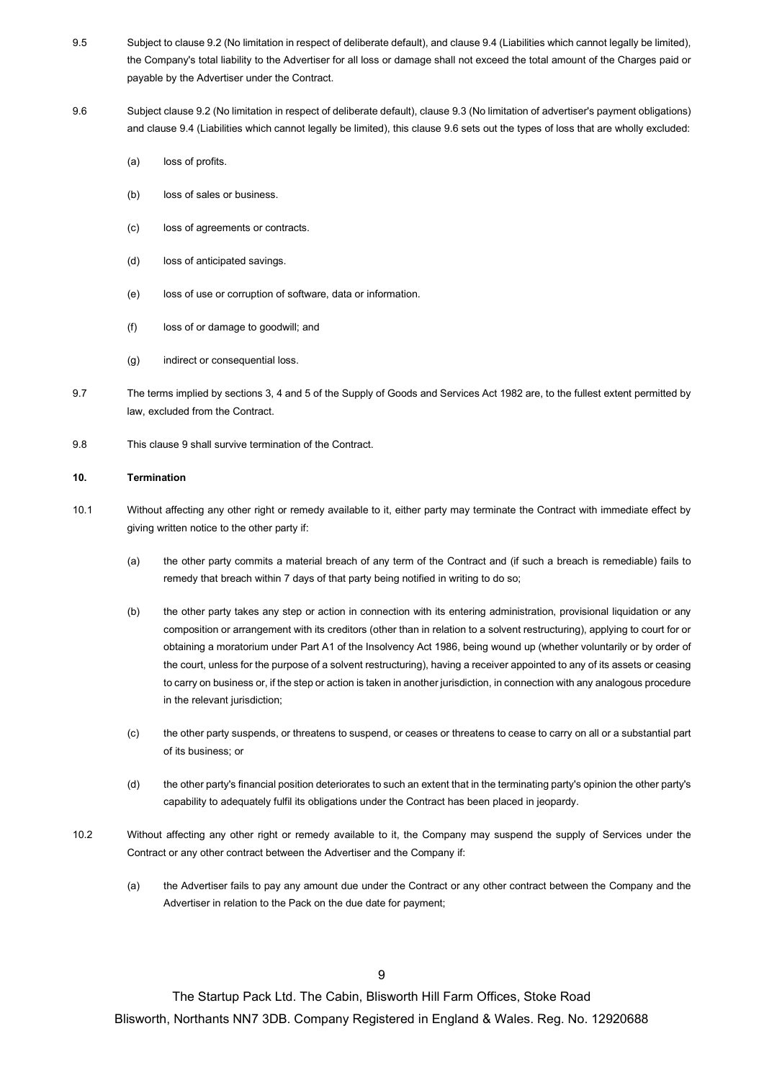- 9.5 Subject to clause 9.2 (No limitation in respect of deliberate default), and clause 9.4 (Liabilities which cannot legally be limited), the Company's total liability to the Advertiser for all loss or damage shall not exceed the total amount of the Charges paid or payable by the Advertiser under the Contract.
- 9.6 Subject clause 9.2 (No limitation in respect of deliberate default), clause 9.3 (No limitation of advertiser's payment obligations) and clause 9.4 (Liabilities which cannot legally be limited), this clause 9.6 sets out the types of loss that are wholly excluded:
	- (a) loss of profits.
	- (b) loss of sales or business.
	- (c) loss of agreements or contracts.
	- (d) loss of anticipated savings.
	- (e) loss of use or corruption of software, data or information.
	- (f) loss of or damage to goodwill; and
	- (g) indirect or consequential loss.
- 9.7 The terms implied by sections 3, 4 and 5 of the Supply of Goods and Services Act 1982 are, to the fullest extent permitted by law, excluded from the Contract.
- 9.8 This clause 9 shall survive termination of the Contract.

### **10. Termination**

- 10.1 Without affecting any other right or remedy available to it, either party may terminate the Contract with immediate effect by giving written notice to the other party if:
	- (a) the other party commits a material breach of any term of the Contract and (if such a breach is remediable) fails to remedy that breach within 7 days of that party being notified in writing to do so;
	- (b) the other party takes any step or action in connection with its entering administration, provisional liquidation or any composition or arrangement with its creditors (other than in relation to a solvent restructuring), applying to court for or obtaining a moratorium under Part A1 of the Insolvency Act 1986, being wound up (whether voluntarily or by order of the court, unless for the purpose of a solvent restructuring), having a receiver appointed to any of its assets or ceasing to carry on business or, if the step or action is taken in another jurisdiction, in connection with any analogous procedure in the relevant jurisdiction;
	- (c) the other party suspends, or threatens to suspend, or ceases or threatens to cease to carry on all or a substantial part of its business; or
	- (d) the other party's financial position deteriorates to such an extent that in the terminating party's opinion the other party's capability to adequately fulfil its obligations under the Contract has been placed in jeopardy.
- 10.2 Without affecting any other right or remedy available to it, the Company may suspend the supply of Services under the Contract or any other contract between the Advertiser and the Company if:
	- (a) the Advertiser fails to pay any amount due under the Contract or any other contract between the Company and the Advertiser in relation to the Pack on the due date for payment;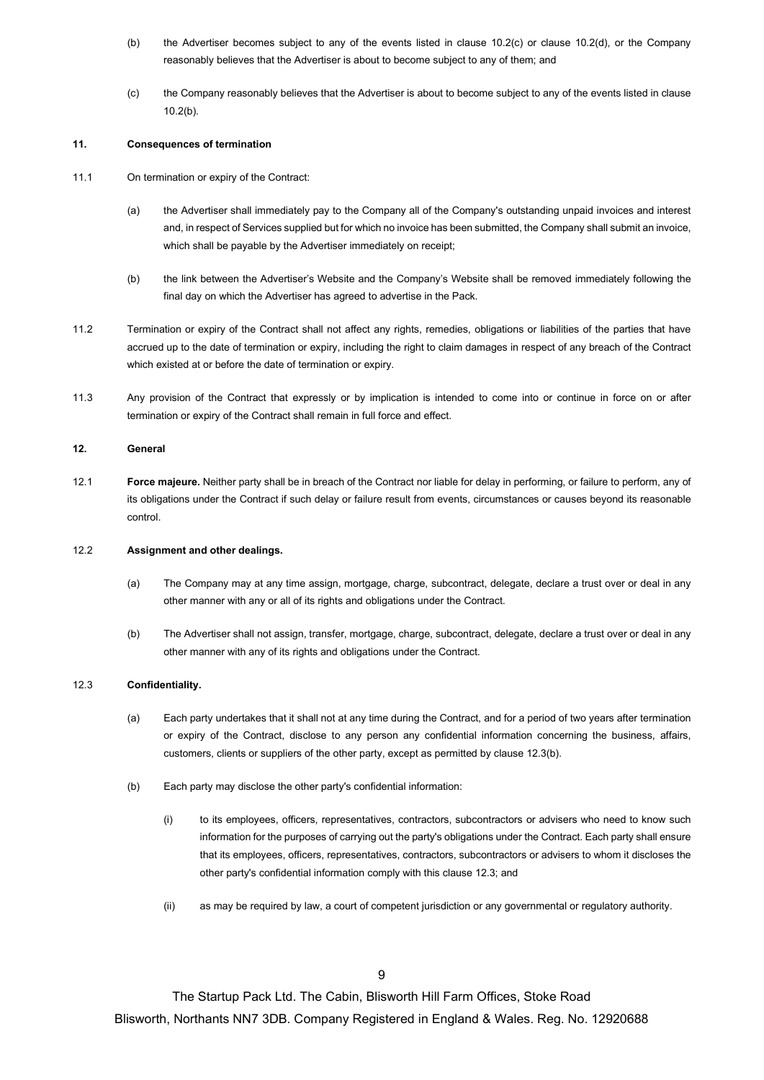- (b) the Advertiser becomes subject to any of the events listed in clause 10.2(c) or clause 10.2(d), or the Company reasonably believes that the Advertiser is about to become subject to any of them; and
- (c) the Company reasonably believes that the Advertiser is about to become subject to any of the events listed in clause 10.2(b)*.*

## **11. Consequences of termination**

- 11.1 On termination or expiry of the Contract:
	- (a) the Advertiser shall immediately pay to the Company all of the Company's outstanding unpaid invoices and interest and, in respect of Services supplied but for which no invoice has been submitted, the Company shall submit an invoice, which shall be payable by the Advertiser immediately on receipt;
	- (b) the link between the Advertiser's Website and the Company's Website shall be removed immediately following the final day on which the Advertiser has agreed to advertise in the Pack.
- 11.2 Termination or expiry of the Contract shall not affect any rights, remedies, obligations or liabilities of the parties that have accrued up to the date of termination or expiry, including the right to claim damages in respect of any breach of the Contract which existed at or before the date of termination or expiry.
- 11.3 Any provision of the Contract that expressly or by implication is intended to come into or continue in force on or after termination or expiry of the Contract shall remain in full force and effect.

## **12. General**

12.1 **Force majeure.** Neither party shall be in breach of the Contract nor liable for delay in performing, or failure to perform, any of its obligations under the Contract if such delay or failure result from events, circumstances or causes beyond its reasonable control.

### 12.2 **Assignment and other dealings.**

- (a) The Company may at any time assign, mortgage, charge, subcontract, delegate, declare a trust over or deal in any other manner with any or all of its rights and obligations under the Contract.
- (b) The Advertiser shall not assign, transfer, mortgage, charge, subcontract, delegate, declare a trust over or deal in any other manner with any of its rights and obligations under the Contract.

# 12.3 **Confidentiality.**

- (a) Each party undertakes that it shall not at any time during the Contract, and for a period of two years after termination or expiry of the Contract, disclose to any person any confidential information concerning the business, affairs, customers, clients or suppliers of the other party, except as permitted by clause 12.3(b).
- (b) Each party may disclose the other party's confidential information:
	- (i) to its employees, officers, representatives, contractors, subcontractors or advisers who need to know such information for the purposes of carrying out the party's obligations under the Contract. Each party shall ensure that its employees, officers, representatives, contractors, subcontractors or advisers to whom it discloses the other party's confidential information comply with this clause 12.3; and
	- (ii) as may be required by law, a court of competent jurisdiction or any governmental or regulatory authority.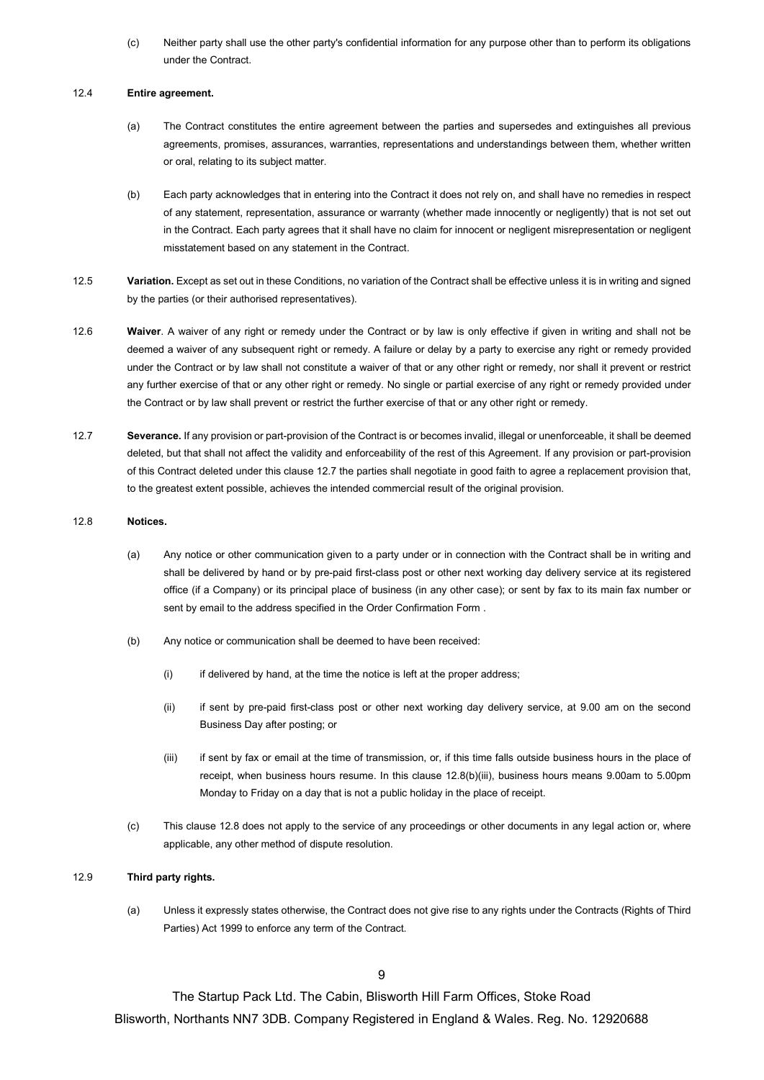(c) Neither party shall use the other party's confidential information for any purpose other than to perform its obligations under the Contract.

## 12.4 **Entire agreement.**

- (a) The Contract constitutes the entire agreement between the parties and supersedes and extinguishes all previous agreements, promises, assurances, warranties, representations and understandings between them, whether written or oral, relating to its subject matter.
- (b) Each party acknowledges that in entering into the Contract it does not rely on, and shall have no remedies in respect of any statement, representation, assurance or warranty (whether made innocently or negligently) that is not set out in the Contract. Each party agrees that it shall have no claim for innocent or negligent misrepresentation or negligent misstatement based on any statement in the Contract.
- 12.5 **Variation.** Except as set out in these Conditions, no variation of the Contract shall be effective unless it is in writing and signed by the parties (or their authorised representatives).
- 12.6 **Waiver**. A waiver of any right or remedy under the Contract or by law is only effective if given in writing and shall not be deemed a waiver of any subsequent right or remedy. A failure or delay by a party to exercise any right or remedy provided under the Contract or by law shall not constitute a waiver of that or any other right or remedy, nor shall it prevent or restrict any further exercise of that or any other right or remedy. No single or partial exercise of any right or remedy provided under the Contract or by law shall prevent or restrict the further exercise of that or any other right or remedy.
- 12.7 **Severance.** If any provision or part-provision of the Contract is or becomes invalid, illegal or unenforceable, it shall be deemed deleted, but that shall not affect the validity and enforceability of the rest of this Agreement. If any provision or part-provision of this Contract deleted under this clause 12.7 the parties shall negotiate in good faith to agree a replacement provision that, to the greatest extent possible, achieves the intended commercial result of the original provision.

# 12.8 **Notices.**

- (a) Any notice or other communication given to a party under or in connection with the Contract shall be in writing and shall be delivered by hand or by pre-paid first-class post or other next working day delivery service at its registered office (if a Company) or its principal place of business (in any other case); or sent by fax to its main fax number or sent by email to the address specified in the Order Confirmation Form .
- (b) Any notice or communication shall be deemed to have been received:
	- (i) if delivered by hand, at the time the notice is left at the proper address;
	- (ii) if sent by pre-paid first-class post or other next working day delivery service, at 9.00 am on the second Business Day after posting; or
	- (iii) if sent by fax or email at the time of transmission, or, if this time falls outside business hours in the place of receipt, when business hours resume. In this clause 12.8(b)(iii), business hours means 9.00am to 5.00pm Monday to Friday on a day that is not a public holiday in the place of receipt.
- (c) This clause 12.8 does not apply to the service of any proceedings or other documents in any legal action or, where applicable, any other method of dispute resolution.

# 12.9 **Third party rights.**

(a) Unless it expressly states otherwise, the Contract does not give rise to any rights under the Contracts (Rights of Third Parties) Act 1999 to enforce any term of the Contract.